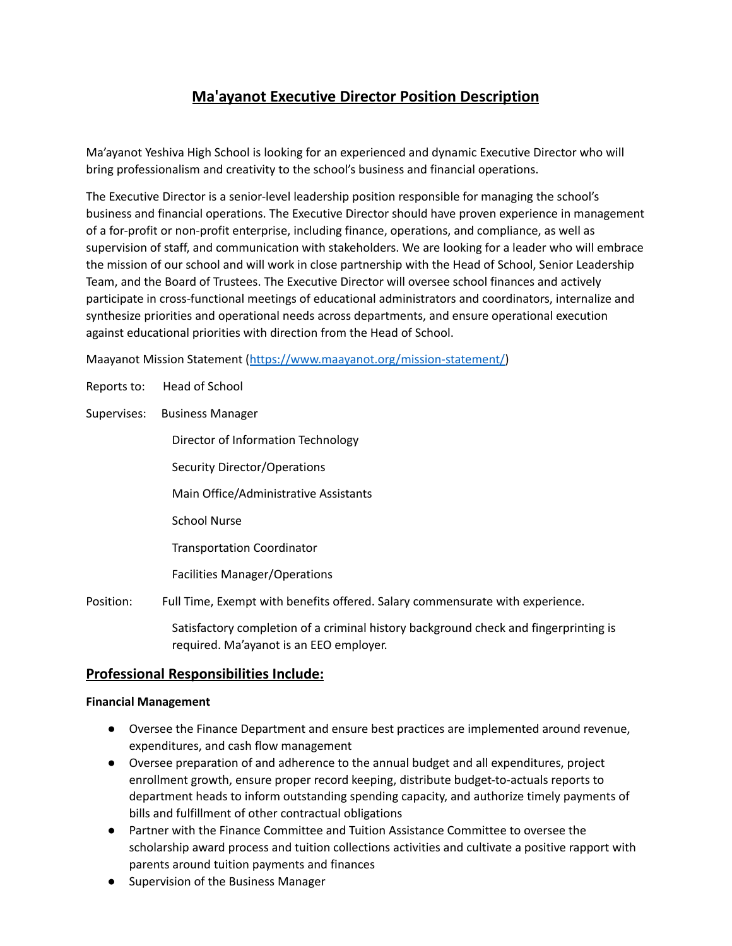# **Ma'ayanot Executive Director Position Description**

Ma'ayanot Yeshiva High School is looking for an experienced and dynamic Executive Director who will bring professionalism and creativity to the school's business and financial operations.

The Executive Director is a senior-level leadership position responsible for managing the school's business and financial operations. The Executive Director should have proven experience in management of a for-profit or non-profit enterprise, including finance, operations, and compliance, as well as supervision of staff, and communication with stakeholders. We are looking for a leader who will embrace the mission of our school and will work in close partnership with the Head of School, Senior Leadership Team, and the Board of Trustees. The Executive Director will oversee school finances and actively participate in cross-functional meetings of educational administrators and coordinators, internalize and synthesize priorities and operational needs across departments, and ensure operational execution against educational priorities with direction from the Head of School.

Maayanot Mission Statement ([https://www.maayanot.org/mission-statement/\)](https://www.maayanot.org/mission-statement/)

- Reports to: Head of School
- Supervises: Business Manager

Director of Information Technology

Security Director/Operations

Main Office/Administrative Assistants

School Nurse

Transportation Coordinator

Facilities Manager/Operations

Position: Full Time, Exempt with benefits offered. Salary commensurate with experience.

Satisfactory completion of a criminal history background check and fingerprinting is required. Ma'ayanot is an EEO employer.

## **Professional Responsibilities Include:**

#### **Financial Management**

- Oversee the Finance Department and ensure best practices are implemented around revenue, expenditures, and cash flow management
- Oversee preparation of and adherence to the annual budget and all expenditures, project enrollment growth, ensure proper record keeping, distribute budget-to-actuals reports to department heads to inform outstanding spending capacity, and authorize timely payments of bills and fulfillment of other contractual obligations
- Partner with the Finance Committee and Tuition Assistance Committee to oversee the scholarship award process and tuition collections activities and cultivate a positive rapport with parents around tuition payments and finances
- Supervision of the Business Manager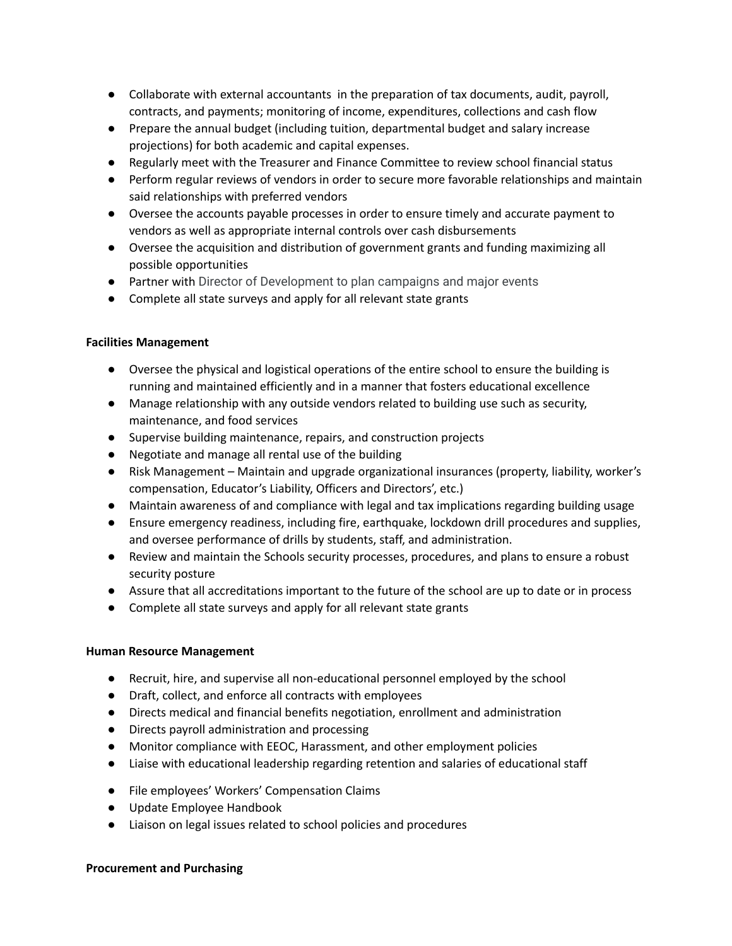- Collaborate with external accountants in the preparation of tax documents, audit, payroll, contracts, and payments; monitoring of income, expenditures, collections and cash flow
- Prepare the annual budget (including tuition, departmental budget and salary increase projections) for both academic and capital expenses.
- Regularly meet with the Treasurer and Finance Committee to review school financial status
- Perform regular reviews of vendors in order to secure more favorable relationships and maintain said relationships with preferred vendors
- Oversee the accounts payable processes in order to ensure timely and accurate payment to vendors as well as appropriate internal controls over cash disbursements
- Oversee the acquisition and distribution of government grants and funding maximizing all possible opportunities
- Partner with Director of Development to plan campaigns and major events
- Complete all state surveys and apply for all relevant state grants

#### **Facilities Management**

- Oversee the physical and logistical operations of the entire school to ensure the building is running and maintained efficiently and in a manner that fosters educational excellence
- Manage relationship with any outside vendors related to building use such as security, maintenance, and food services
- Supervise building maintenance, repairs, and construction projects
- Negotiate and manage all rental use of the building
- Risk Management Maintain and upgrade organizational insurances (property, liability, worker's compensation, Educator's Liability, Officers and Directors', etc.)
- Maintain awareness of and compliance with legal and tax implications regarding building usage
- Ensure emergency readiness, including fire, earthquake, lockdown drill procedures and supplies, and oversee performance of drills by students, staff, and administration.
- Review and maintain the Schools security processes, procedures, and plans to ensure a robust security posture
- Assure that all accreditations important to the future of the school are up to date or in process
- Complete all state surveys and apply for all relevant state grants

#### **Human Resource Management**

- Recruit, hire, and supervise all non-educational personnel employed by the school
- Draft, collect, and enforce all contracts with employees
- Directs medical and financial benefits negotiation, enrollment and administration
- Directs payroll administration and processing
- Monitor compliance with EEOC, Harassment, and other employment policies
- Liaise with educational leadership regarding retention and salaries of educational staff
- File employees' Workers' Compensation Claims
- Update Employee Handbook
- Liaison on legal issues related to school policies and procedures

#### **Procurement and Purchasing**